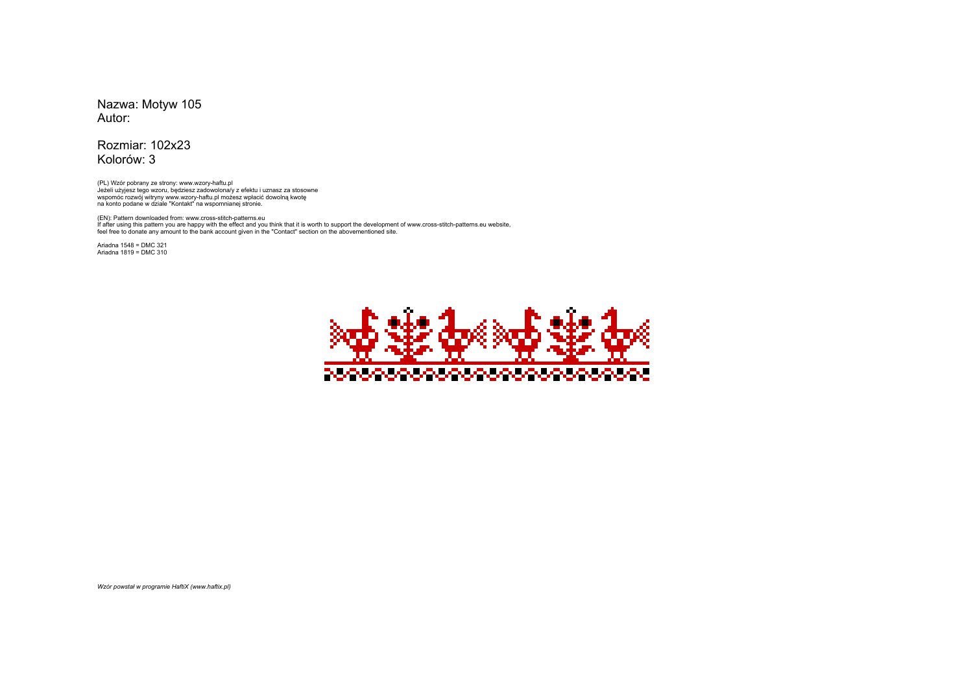Nazwa: Motyw 105Autor:

## Rozmiar: 102x23Kolorów: 3

(PL) Wzór pobrany ze strony: www.wzory-haftu.plJeżeli użyjesz tego wzoru, będziesz zadowolona/y z efektu i uznasz za stosowne<br>wspomóc rozwój witryny www.wzory-haftu.pl możesz wpłacić dowolną kwotę<br>na konto podane w dziale "Kontakt" na wspomnianej stronie.

(EN): Pattern downloaded from: www.cross-stitch-patterns.eu If after using this pattern you are happy with the effect and you think that it is worth to support the development of www.cross-stitch-patterns.eu website, feel free to donate any amount to the bank account given in the "Contact" section on the abovementioned site.

Ariadna 1548 = DMC 321 Ariadna 1819 = DMC 310



*Wzór powstał w programie HaftiX (www.haftix.pl)*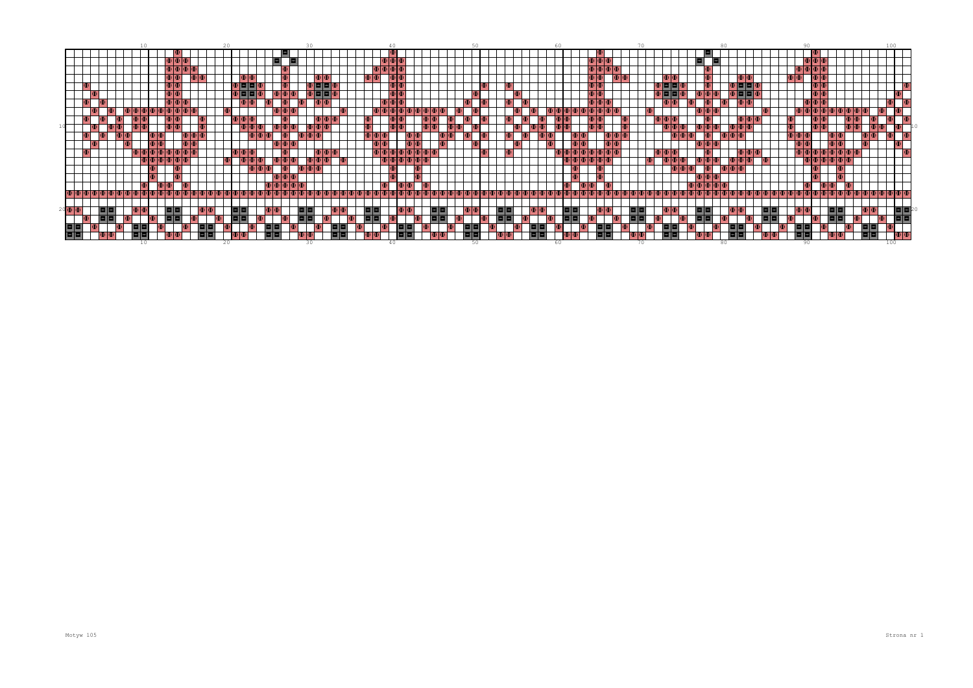